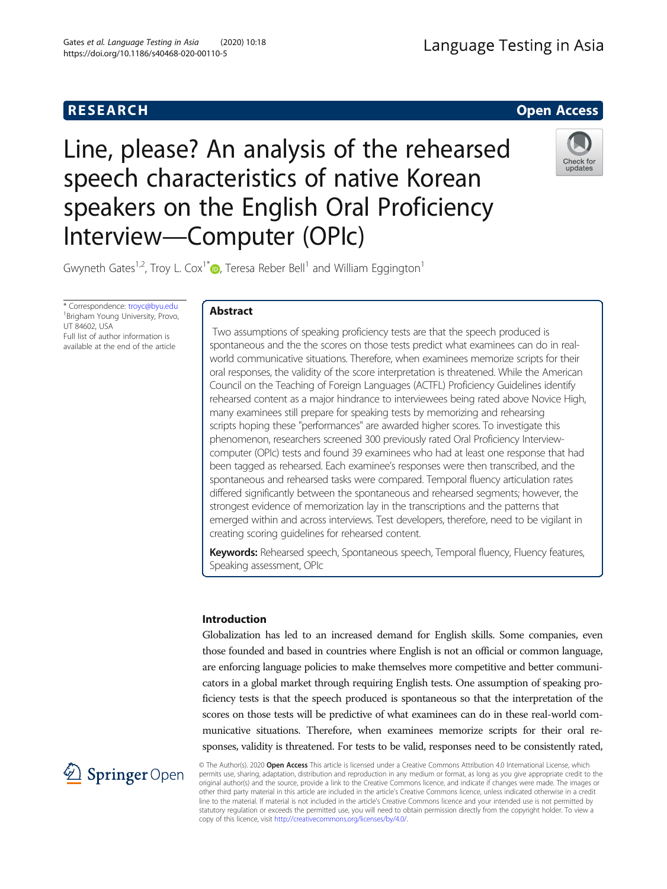

# Line, please? An analysis of the rehearsed speech characteristics of native Korean speakers on the English Oral Proficiency Interview—Computer (OPIc)



Gwyneth Gates<sup>1,2</sup>, Troy L. Cox<sup>1\*</sup> $\bullet$ , Teresa Reber Bell<sup>1</sup> and William Eggington<sup>1</sup>

\* Correspondence: [troyc@byu.edu](mailto:troyc@byu.edu) <sup>1</sup> <sup>1</sup>Brigham Young University, Provo, UT 84602, USA Full list of author information is available at the end of the article

# Abstract

Two assumptions of speaking proficiency tests are that the speech produced is spontaneous and the the scores on those tests predict what examinees can do in realworld communicative situations. Therefore, when examinees memorize scripts for their oral responses, the validity of the score interpretation is threatened. While the American Council on the Teaching of Foreign Languages (ACTFL) Proficiency Guidelines identify rehearsed content as a major hindrance to interviewees being rated above Novice High, many examinees still prepare for speaking tests by memorizing and rehearsing scripts hoping these "performances" are awarded higher scores. To investigate this phenomenon, researchers screened 300 previously rated Oral Proficiency Interviewcomputer (OPIc) tests and found 39 examinees who had at least one response that had been tagged as rehearsed. Each examinee's responses were then transcribed, and the spontaneous and rehearsed tasks were compared. Temporal fluency articulation rates differed significantly between the spontaneous and rehearsed segments; however, the strongest evidence of memorization lay in the transcriptions and the patterns that emerged within and across interviews. Test developers, therefore, need to be vigilant in creating scoring guidelines for rehearsed content.

Keywords: Rehearsed speech, Spontaneous speech, Temporal fluency, Fluency features, Speaking assessment, OPIc

# Introduction

Globalization has led to an increased demand for English skills. Some companies, even those founded and based in countries where English is not an official or common language, are enforcing language policies to make themselves more competitive and better communicators in a global market through requiring English tests. One assumption of speaking proficiency tests is that the speech produced is spontaneous so that the interpretation of the scores on those tests will be predictive of what examinees can do in these real-world communicative situations. Therefore, when examinees memorize scripts for their oral responses, validity is threatened. For tests to be valid, responses need to be consistently rated,



© The Author(s). 2020 Open Access This article is licensed under a Creative Commons Attribution 4.0 International License, which permits use, sharing, adaptation, distribution and reproduction in any medium or format, as long as you give appropriate credit to the original author(s) and the source, provide a link to the Creative Commons licence, and indicate if changes were made. The images or other third party material in this article are included in the article's Creative Commons licence, unless indicated otherwise in a credit line to the material. If material is not included in the article's Creative Commons licence and your intended use is not permitted by statutory regulation or exceeds the permitted use, you will need to obtain permission directly from the copyright holder. To view a copy of this licence, visit <http://creativecommons.org/licenses/by/4.0/>.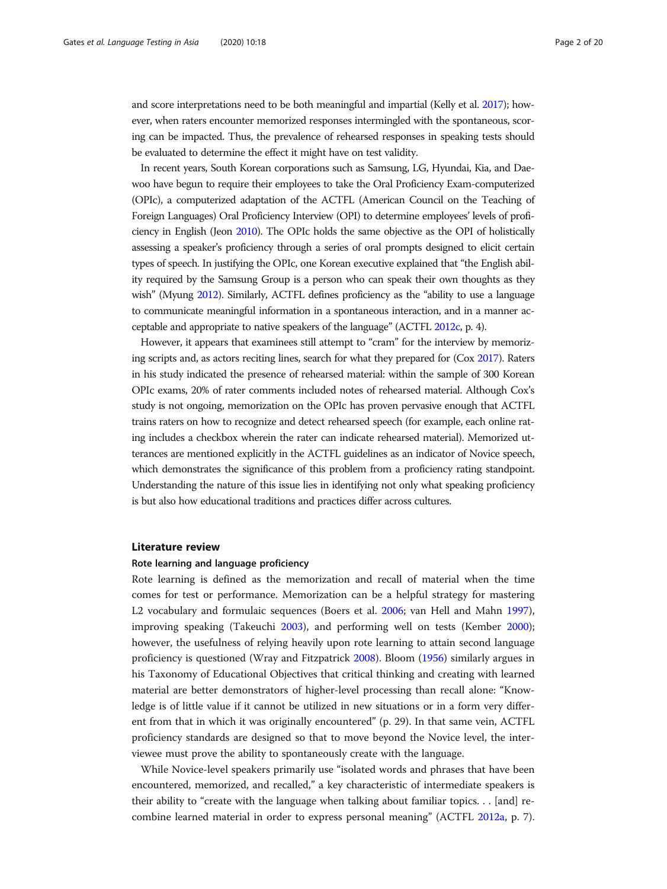and score interpretations need to be both meaningful and impartial (Kelly et al. [2017\)](#page-18-0); however, when raters encounter memorized responses intermingled with the spontaneous, scoring can be impacted. Thus, the prevalence of rehearsed responses in speaking tests should be evaluated to determine the effect it might have on test validity.

In recent years, South Korean corporations such as Samsung, LG, Hyundai, Kia, and Daewoo have begun to require their employees to take the Oral Proficiency Exam-computerized (OPIc), a computerized adaptation of the ACTFL (American Council on the Teaching of Foreign Languages) Oral Proficiency Interview (OPI) to determine employees' levels of proficiency in English (Jeon [2010\)](#page-18-0). The OPIc holds the same objective as the OPI of holistically assessing a speaker's proficiency through a series of oral prompts designed to elicit certain types of speech. In justifying the OPIc, one Korean executive explained that "the English ability required by the Samsung Group is a person who can speak their own thoughts as they wish" (Myung [2012\)](#page-19-0). Similarly, ACTFL defines proficiency as the "ability to use a language to communicate meaningful information in a spontaneous interaction, and in a manner acceptable and appropriate to native speakers of the language" (ACTFL [2012c,](#page-18-0) p. 4).

However, it appears that examinees still attempt to "cram" for the interview by memorizing scripts and, as actors reciting lines, search for what they prepared for (Cox [2017](#page-18-0)). Raters in his study indicated the presence of rehearsed material: within the sample of 300 Korean OPIc exams, 20% of rater comments included notes of rehearsed material. Although Cox's study is not ongoing, memorization on the OPIc has proven pervasive enough that ACTFL trains raters on how to recognize and detect rehearsed speech (for example, each online rating includes a checkbox wherein the rater can indicate rehearsed material). Memorized utterances are mentioned explicitly in the ACTFL guidelines as an indicator of Novice speech, which demonstrates the significance of this problem from a proficiency rating standpoint. Understanding the nature of this issue lies in identifying not only what speaking proficiency is but also how educational traditions and practices differ across cultures.

#### Literature review

#### Rote learning and language proficiency

Rote learning is defined as the memorization and recall of material when the time comes for test or performance. Memorization can be a helpful strategy for mastering L2 vocabulary and formulaic sequences (Boers et al. [2006](#page-18-0); van Hell and Mahn [1997](#page-19-0)), improving speaking (Takeuchi [2003\)](#page-19-0), and performing well on tests (Kember [2000](#page-18-0)); however, the usefulness of relying heavily upon rote learning to attain second language proficiency is questioned (Wray and Fitzpatrick [2008](#page-19-0)). Bloom ([1956](#page-18-0)) similarly argues in his Taxonomy of Educational Objectives that critical thinking and creating with learned material are better demonstrators of higher-level processing than recall alone: "Knowledge is of little value if it cannot be utilized in new situations or in a form very different from that in which it was originally encountered" (p. 29). In that same vein, ACTFL proficiency standards are designed so that to move beyond the Novice level, the interviewee must prove the ability to spontaneously create with the language.

While Novice-level speakers primarily use "isolated words and phrases that have been encountered, memorized, and recalled," a key characteristic of intermediate speakers is their ability to "create with the language when talking about familiar topics. . . [and] recombine learned material in order to express personal meaning" (ACTFL [2012a,](#page-18-0) p. 7).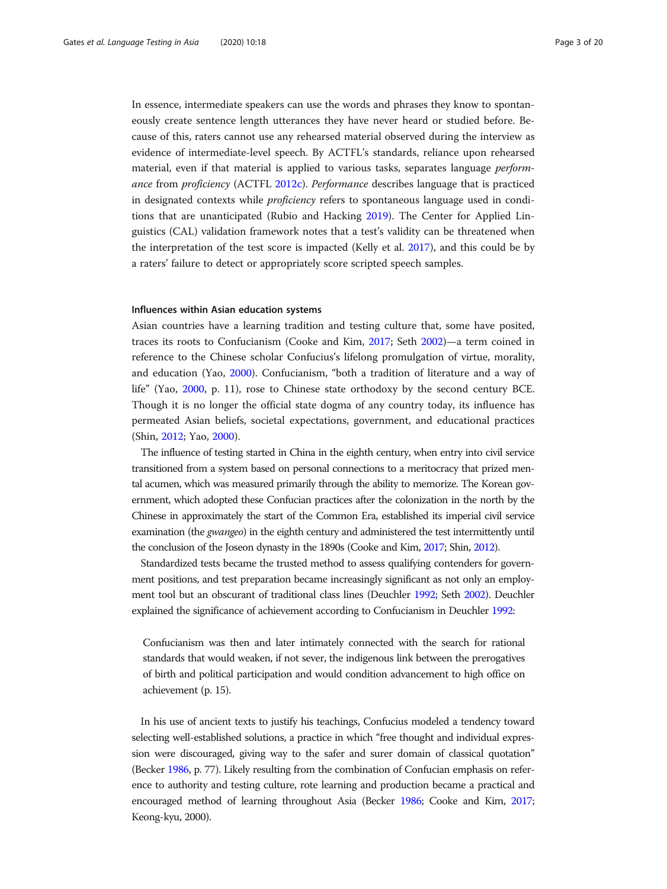In essence, intermediate speakers can use the words and phrases they know to spontaneously create sentence length utterances they have never heard or studied before. Because of this, raters cannot use any rehearsed material observed during the interview as evidence of intermediate-level speech. By ACTFL's standards, reliance upon rehearsed material, even if that material is applied to various tasks, separates language *perform*ance from proficiency (ACTFL [2012c\)](#page-18-0). Performance describes language that is practiced in designated contexts while *proficiency* refers to spontaneous language used in conditions that are unanticipated (Rubio and Hacking [2019\)](#page-19-0). The Center for Applied Linguistics (CAL) validation framework notes that a test's validity can be threatened when the interpretation of the test score is impacted (Kelly et al. [2017](#page-18-0)), and this could be by a raters' failure to detect or appropriately score scripted speech samples.

#### Influences within Asian education systems

Asian countries have a learning tradition and testing culture that, some have posited, traces its roots to Confucianism (Cooke and Kim, [2017;](#page-18-0) Seth [2002\)](#page-19-0)—a term coined in reference to the Chinese scholar Confucius's lifelong promulgation of virtue, morality, and education (Yao, [2000\)](#page-19-0). Confucianism, "both a tradition of literature and a way of life" (Yao, [2000,](#page-19-0) p. 11), rose to Chinese state orthodoxy by the second century BCE. Though it is no longer the official state dogma of any country today, its influence has permeated Asian beliefs, societal expectations, government, and educational practices (Shin, [2012;](#page-19-0) Yao, [2000](#page-19-0)).

The influence of testing started in China in the eighth century, when entry into civil service transitioned from a system based on personal connections to a meritocracy that prized mental acumen, which was measured primarily through the ability to memorize. The Korean government, which adopted these Confucian practices after the colonization in the north by the Chinese in approximately the start of the Common Era, established its imperial civil service examination (the *gwangeo*) in the eighth century and administered the test intermittently until the conclusion of the Joseon dynasty in the 1890s (Cooke and Kim, [2017;](#page-18-0) Shin, [2012\)](#page-19-0).

Standardized tests became the trusted method to assess qualifying contenders for government positions, and test preparation became increasingly significant as not only an employment tool but an obscurant of traditional class lines (Deuchler [1992;](#page-18-0) Seth [2002](#page-19-0)). Deuchler explained the significance of achievement according to Confucianism in Deuchler [1992](#page-18-0):

Confucianism was then and later intimately connected with the search for rational standards that would weaken, if not sever, the indigenous link between the prerogatives of birth and political participation and would condition advancement to high office on achievement (p. 15).

In his use of ancient texts to justify his teachings, Confucius modeled a tendency toward selecting well-established solutions, a practice in which "free thought and individual expression were discouraged, giving way to the safer and surer domain of classical quotation" (Becker [1986,](#page-18-0) p. 77). Likely resulting from the combination of Confucian emphasis on reference to authority and testing culture, rote learning and production became a practical and encouraged method of learning throughout Asia (Becker [1986](#page-18-0); Cooke and Kim, [2017](#page-18-0); Keong-kyu, 2000).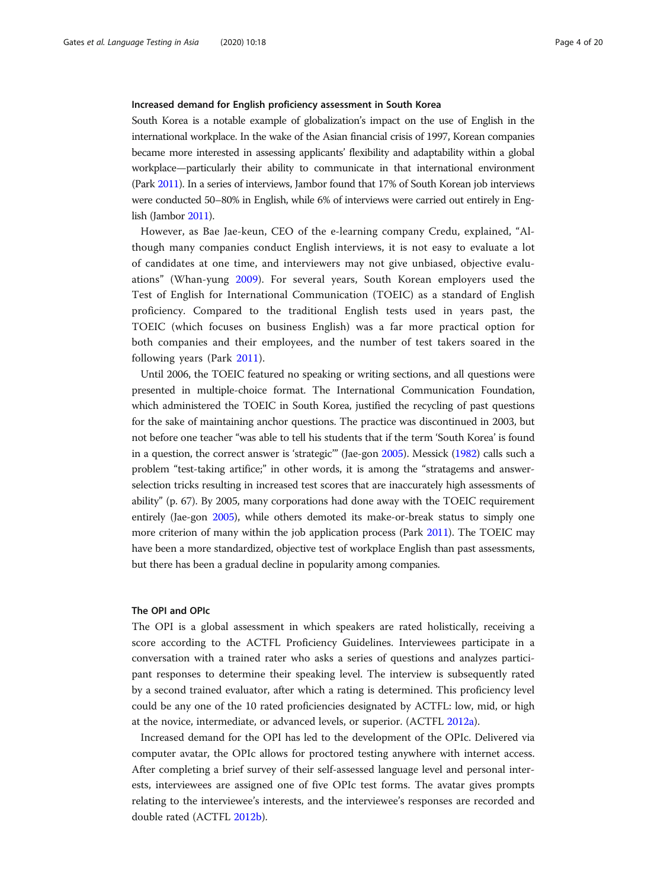#### Increased demand for English proficiency assessment in South Korea

South Korea is a notable example of globalization's impact on the use of English in the international workplace. In the wake of the Asian financial crisis of 1997, Korean companies became more interested in assessing applicants' flexibility and adaptability within a global workplace—particularly their ability to communicate in that international environment (Park [2011\)](#page-19-0). In a series of interviews, Jambor found that 17% of South Korean job interviews were conducted 50–80% in English, while 6% of interviews were carried out entirely in English (Jambor [2011\)](#page-18-0).

However, as Bae Jae-keun, CEO of the e-learning company Credu, explained, "Although many companies conduct English interviews, it is not easy to evaluate a lot of candidates at one time, and interviewers may not give unbiased, objective evaluations" (Whan-yung [2009](#page-19-0)). For several years, South Korean employers used the Test of English for International Communication (TOEIC) as a standard of English proficiency. Compared to the traditional English tests used in years past, the TOEIC (which focuses on business English) was a far more practical option for both companies and their employees, and the number of test takers soared in the following years (Park [2011](#page-19-0)).

Until 2006, the TOEIC featured no speaking or writing sections, and all questions were presented in multiple-choice format. The International Communication Foundation, which administered the TOEIC in South Korea, justified the recycling of past questions for the sake of maintaining anchor questions. The practice was discontinued in 2003, but not before one teacher "was able to tell his students that if the term 'South Korea' is found in a question, the correct answer is 'strategic'" (Jae-gon [2005](#page-18-0)). Messick [\(1982\)](#page-19-0) calls such a problem "test-taking artifice;" in other words, it is among the "stratagems and answerselection tricks resulting in increased test scores that are inaccurately high assessments of ability" (p. 67). By 2005, many corporations had done away with the TOEIC requirement entirely (Jae-gon [2005](#page-18-0)), while others demoted its make-or-break status to simply one more criterion of many within the job application process (Park [2011\)](#page-19-0). The TOEIC may have been a more standardized, objective test of workplace English than past assessments, but there has been a gradual decline in popularity among companies.

#### The OPI and OPIc

The OPI is a global assessment in which speakers are rated holistically, receiving a score according to the ACTFL Proficiency Guidelines. Interviewees participate in a conversation with a trained rater who asks a series of questions and analyzes participant responses to determine their speaking level. The interview is subsequently rated by a second trained evaluator, after which a rating is determined. This proficiency level could be any one of the 10 rated proficiencies designated by ACTFL: low, mid, or high at the novice, intermediate, or advanced levels, or superior. (ACTFL [2012a](#page-18-0)).

Increased demand for the OPI has led to the development of the OPIc. Delivered via computer avatar, the OPIc allows for proctored testing anywhere with internet access. After completing a brief survey of their self-assessed language level and personal interests, interviewees are assigned one of five OPIc test forms. The avatar gives prompts relating to the interviewee's interests, and the interviewee's responses are recorded and double rated (ACTFL [2012b\)](#page-18-0).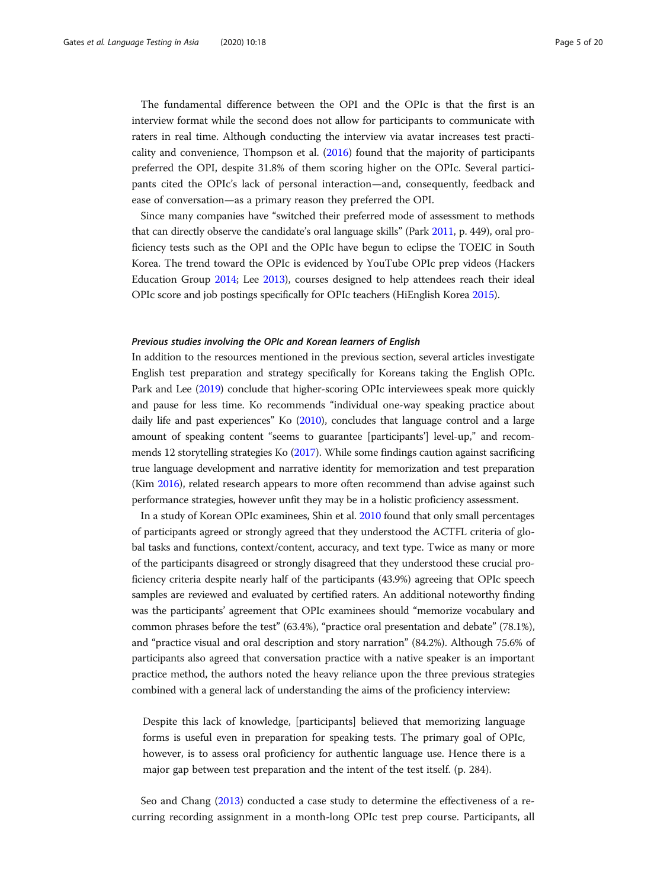The fundamental difference between the OPI and the OPIc is that the first is an interview format while the second does not allow for participants to communicate with raters in real time. Although conducting the interview via avatar increases test practicality and convenience, Thompson et al. ([2016](#page-19-0)) found that the majority of participants preferred the OPI, despite 31.8% of them scoring higher on the OPIc. Several participants cited the OPIc's lack of personal interaction—and, consequently, feedback and ease of conversation—as a primary reason they preferred the OPI.

Since many companies have "switched their preferred mode of assessment to methods that can directly observe the candidate's oral language skills" (Park [2011](#page-19-0), p. 449), oral proficiency tests such as the OPI and the OPIc have begun to eclipse the TOEIC in South Korea. The trend toward the OPIc is evidenced by YouTube OPIc prep videos (Hackers Education Group [2014](#page-18-0); Lee [2013](#page-19-0)), courses designed to help attendees reach their ideal OPIc score and job postings specifically for OPIc teachers (HiEnglish Korea [2015](#page-18-0)).

# Previous studies involving the OPIc and Korean learners of English

In addition to the resources mentioned in the previous section, several articles investigate English test preparation and strategy specifically for Koreans taking the English OPIc. Park and Lee ([2019\)](#page-19-0) conclude that higher-scoring OPIc interviewees speak more quickly and pause for less time. Ko recommends "individual one-way speaking practice about daily life and past experiences" Ko ([2010\)](#page-18-0), concludes that language control and a large amount of speaking content "seems to guarantee [participants'] level-up," and recommends 12 storytelling strategies Ko ([2017\)](#page-18-0). While some findings caution against sacrificing true language development and narrative identity for memorization and test preparation (Kim [2016](#page-18-0)), related research appears to more often recommend than advise against such performance strategies, however unfit they may be in a holistic proficiency assessment.

In a study of Korean OPIc examinees, Shin et al. [2010](#page-19-0) found that only small percentages of participants agreed or strongly agreed that they understood the ACTFL criteria of global tasks and functions, context/content, accuracy, and text type. Twice as many or more of the participants disagreed or strongly disagreed that they understood these crucial proficiency criteria despite nearly half of the participants (43.9%) agreeing that OPIc speech samples are reviewed and evaluated by certified raters. An additional noteworthy finding was the participants' agreement that OPIc examinees should "memorize vocabulary and common phrases before the test" (63.4%), "practice oral presentation and debate" (78.1%), and "practice visual and oral description and story narration" (84.2%). Although 75.6% of participants also agreed that conversation practice with a native speaker is an important practice method, the authors noted the heavy reliance upon the three previous strategies combined with a general lack of understanding the aims of the proficiency interview:

Despite this lack of knowledge, [participants] believed that memorizing language forms is useful even in preparation for speaking tests. The primary goal of OPIc, however, is to assess oral proficiency for authentic language use. Hence there is a major gap between test preparation and the intent of the test itself. (p. 284).

Seo and Chang ([2013](#page-19-0)) conducted a case study to determine the effectiveness of a recurring recording assignment in a month-long OPIc test prep course. Participants, all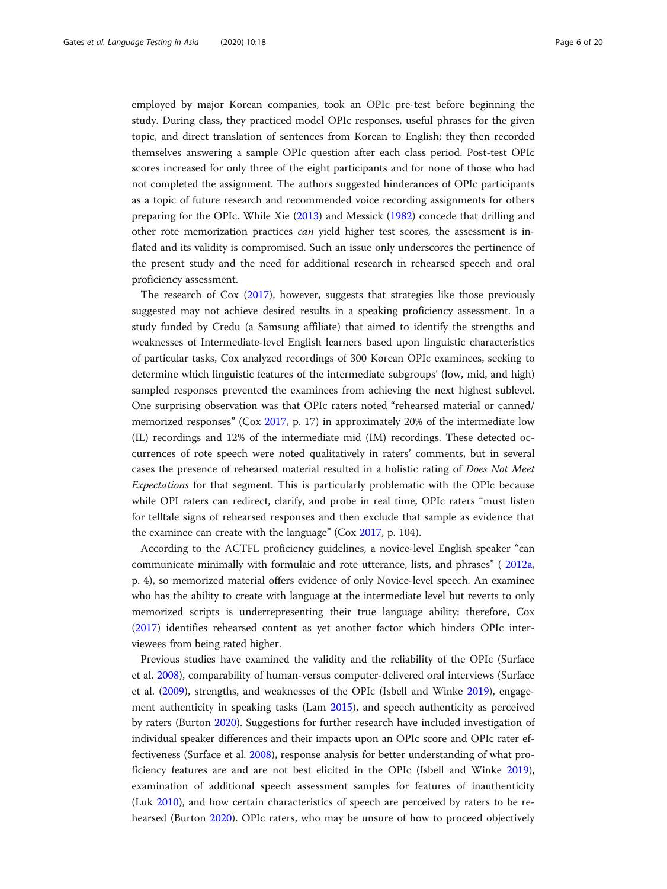employed by major Korean companies, took an OPIc pre-test before beginning the study. During class, they practiced model OPIc responses, useful phrases for the given topic, and direct translation of sentences from Korean to English; they then recorded themselves answering a sample OPIc question after each class period. Post-test OPIc scores increased for only three of the eight participants and for none of those who had not completed the assignment. The authors suggested hinderances of OPIc participants as a topic of future research and recommended voice recording assignments for others preparing for the OPIc. While Xie [\(2013\)](#page-19-0) and Messick [\(1982](#page-19-0)) concede that drilling and other rote memorization practices can yield higher test scores, the assessment is inflated and its validity is compromised. Such an issue only underscores the pertinence of the present study and the need for additional research in rehearsed speech and oral proficiency assessment.

The research of Cox ([2017](#page-18-0)), however, suggests that strategies like those previously suggested may not achieve desired results in a speaking proficiency assessment. In a study funded by Credu (a Samsung affiliate) that aimed to identify the strengths and weaknesses of Intermediate-level English learners based upon linguistic characteristics of particular tasks, Cox analyzed recordings of 300 Korean OPIc examinees, seeking to determine which linguistic features of the intermediate subgroups' (low, mid, and high) sampled responses prevented the examinees from achieving the next highest sublevel. One surprising observation was that OPIc raters noted "rehearsed material or canned/ memorized responses" (Cox [2017](#page-18-0), p. 17) in approximately 20% of the intermediate low (IL) recordings and 12% of the intermediate mid (IM) recordings. These detected occurrences of rote speech were noted qualitatively in raters' comments, but in several cases the presence of rehearsed material resulted in a holistic rating of Does Not Meet Expectations for that segment. This is particularly problematic with the OPIc because while OPI raters can redirect, clarify, and probe in real time, OPIc raters "must listen for telltale signs of rehearsed responses and then exclude that sample as evidence that the examinee can create with the language" (Cox [2017,](#page-18-0) p. 104).

According to the ACTFL proficiency guidelines, a novice-level English speaker "can communicate minimally with formulaic and rote utterance, lists, and phrases" ( [2012a](#page-18-0), p. 4), so memorized material offers evidence of only Novice-level speech. An examinee who has the ability to create with language at the intermediate level but reverts to only memorized scripts is underrepresenting their true language ability; therefore, Cox ([2017](#page-18-0)) identifies rehearsed content as yet another factor which hinders OPIc interviewees from being rated higher.

Previous studies have examined the validity and the reliability of the OPIc (Surface et al. [2008\)](#page-19-0), comparability of human-versus computer-delivered oral interviews (Surface et al. ([2009\)](#page-19-0), strengths, and weaknesses of the OPIc (Isbell and Winke [2019\)](#page-18-0), engagement authenticity in speaking tasks (Lam [2015\)](#page-19-0), and speech authenticity as perceived by raters (Burton [2020](#page-18-0)). Suggestions for further research have included investigation of individual speaker differences and their impacts upon an OPIc score and OPIc rater effectiveness (Surface et al. [2008](#page-19-0)), response analysis for better understanding of what proficiency features are and are not best elicited in the OPIc (Isbell and Winke [2019](#page-18-0)), examination of additional speech assessment samples for features of inauthenticity (Luk [2010\)](#page-19-0), and how certain characteristics of speech are perceived by raters to be rehearsed (Burton [2020](#page-18-0)). OPIc raters, who may be unsure of how to proceed objectively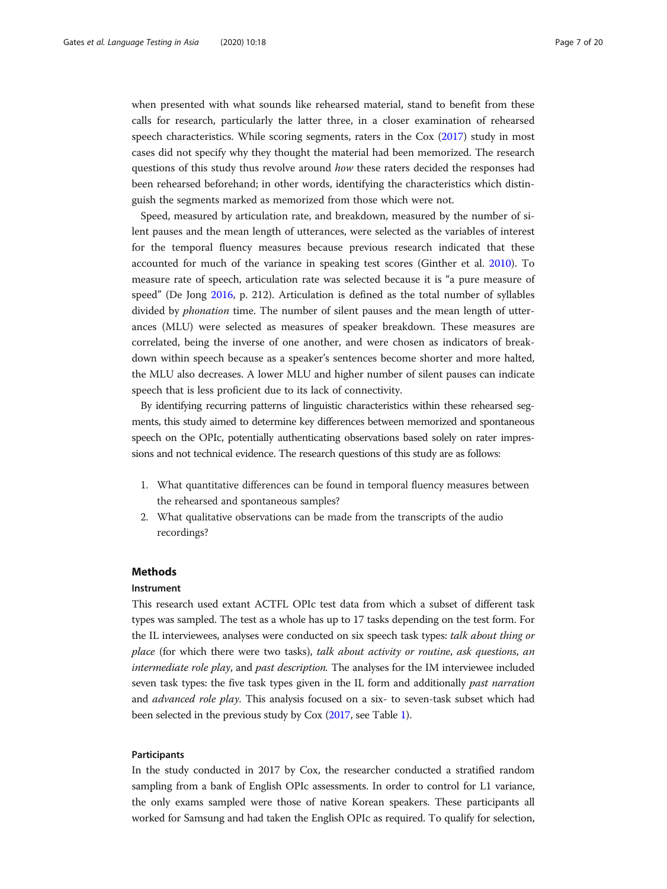when presented with what sounds like rehearsed material, stand to benefit from these calls for research, particularly the latter three, in a closer examination of rehearsed speech characteristics. While scoring segments, raters in the Cox [\(2017](#page-18-0)) study in most cases did not specify why they thought the material had been memorized. The research questions of this study thus revolve around how these raters decided the responses had been rehearsed beforehand; in other words, identifying the characteristics which distinguish the segments marked as memorized from those which were not.

Speed, measured by articulation rate, and breakdown, measured by the number of silent pauses and the mean length of utterances, were selected as the variables of interest for the temporal fluency measures because previous research indicated that these accounted for much of the variance in speaking test scores (Ginther et al. [2010\)](#page-18-0). To measure rate of speech, articulation rate was selected because it is "a pure measure of speed" (De Jong [2016](#page-18-0), p. 212). Articulation is defined as the total number of syllables divided by phonation time. The number of silent pauses and the mean length of utterances (MLU) were selected as measures of speaker breakdown. These measures are correlated, being the inverse of one another, and were chosen as indicators of breakdown within speech because as a speaker's sentences become shorter and more halted, the MLU also decreases. A lower MLU and higher number of silent pauses can indicate speech that is less proficient due to its lack of connectivity.

By identifying recurring patterns of linguistic characteristics within these rehearsed segments, this study aimed to determine key differences between memorized and spontaneous speech on the OPIc, potentially authenticating observations based solely on rater impressions and not technical evidence. The research questions of this study are as follows:

- 1. What quantitative differences can be found in temporal fluency measures between the rehearsed and spontaneous samples?
- 2. What qualitative observations can be made from the transcripts of the audio recordings?

### Methods

#### Instrument

This research used extant ACTFL OPIc test data from which a subset of different task types was sampled. The test as a whole has up to 17 tasks depending on the test form. For the IL interviewees, analyses were conducted on six speech task types: talk about thing or place (for which there were two tasks), talk about activity or routine, ask questions, an intermediate role play, and past description. The analyses for the IM interviewee included seven task types: the five task types given in the IL form and additionally *past narration* and *advanced role play*. This analysis focused on a six- to seven-task subset which had been selected in the previous study by Cox ([2017,](#page-18-0) see Table [1\)](#page-7-0).

#### Participants

In the study conducted in 2017 by Cox, the researcher conducted a stratified random sampling from a bank of English OPIc assessments. In order to control for L1 variance, the only exams sampled were those of native Korean speakers. These participants all worked for Samsung and had taken the English OPIc as required. To qualify for selection,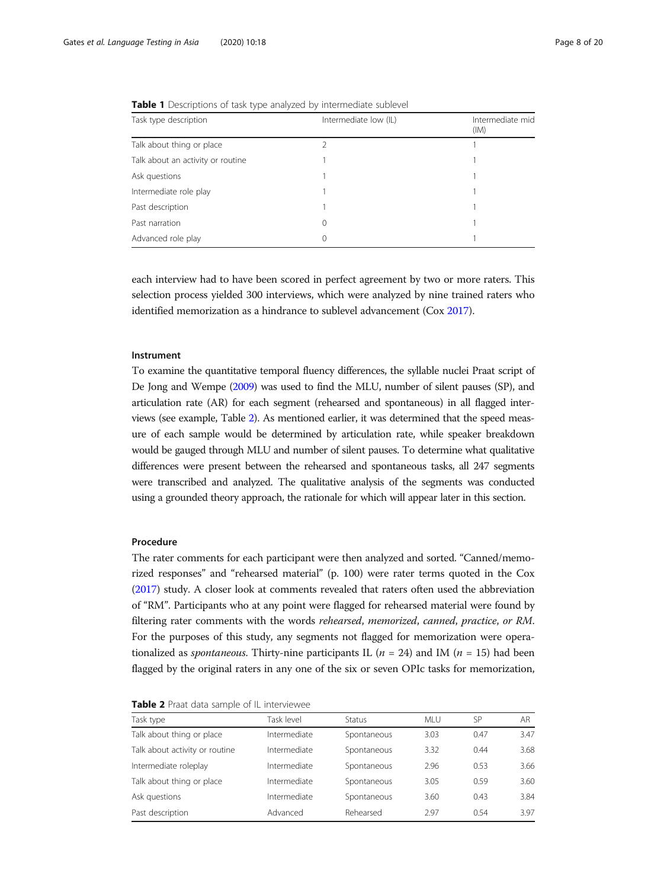| Task type description             | Intermediate low (IL) | Intermediate mid |  |
|-----------------------------------|-----------------------|------------------|--|
|                                   |                       | (IM)             |  |
| Talk about thing or place         |                       |                  |  |
| Talk about an activity or routine |                       |                  |  |
| Ask questions                     |                       |                  |  |
| Intermediate role play            |                       |                  |  |
| Past description                  |                       |                  |  |
| Past narration                    | 0                     |                  |  |
| Advanced role play                | $^{()}$               |                  |  |

<span id="page-7-0"></span>**Table 1** Descriptions of task type analyzed by intermediate sublevel

each interview had to have been scored in perfect agreement by two or more raters. This selection process yielded 300 interviews, which were analyzed by nine trained raters who identified memorization as a hindrance to sublevel advancement (Cox [2017\)](#page-18-0).

#### Instrument

To examine the quantitative temporal fluency differences, the syllable nuclei Praat script of De Jong and Wempe [\(2009\)](#page-18-0) was used to find the MLU, number of silent pauses (SP), and articulation rate (AR) for each segment (rehearsed and spontaneous) in all flagged interviews (see example, Table 2). As mentioned earlier, it was determined that the speed measure of each sample would be determined by articulation rate, while speaker breakdown would be gauged through MLU and number of silent pauses. To determine what qualitative differences were present between the rehearsed and spontaneous tasks, all 247 segments were transcribed and analyzed. The qualitative analysis of the segments was conducted using a grounded theory approach, the rationale for which will appear later in this section.

#### Procedure

The rater comments for each participant were then analyzed and sorted. "Canned/memorized responses" and "rehearsed material" (p. 100) were rater terms quoted in the Cox ([2017\)](#page-18-0) study. A closer look at comments revealed that raters often used the abbreviation of "RM". Participants who at any point were flagged for rehearsed material were found by filtering rater comments with the words rehearsed, memorized, canned, practice, or RM. For the purposes of this study, any segments not flagged for memorization were operationalized as *spontaneous*. Thirty-nine participants IL ( $n = 24$ ) and IM ( $n = 15$ ) had been flagged by the original raters in any one of the six or seven OPIc tasks for memorization,

Table 2 Praat data sample of IL interviewee

| Task type                      | Task level   | Status      | MI U | SP   | AR.  |
|--------------------------------|--------------|-------------|------|------|------|
| Talk about thing or place      | Intermediate | Spontaneous | 3.03 | 0.47 | 3.47 |
| Talk about activity or routine | Intermediate | Spontaneous | 3.32 | 0.44 | 3.68 |
| Intermediate roleplay          | Intermediate | Spontaneous | 2.96 | 0.53 | 3.66 |
| Talk about thing or place      | Intermediate | Spontaneous | 3.05 | 0.59 | 3.60 |
| Ask questions                  | Intermediate | Spontaneous | 3.60 | 0.43 | 3.84 |
| Past description               | Advanced     | Rehearsed   | 2.97 | 0.54 | 3.97 |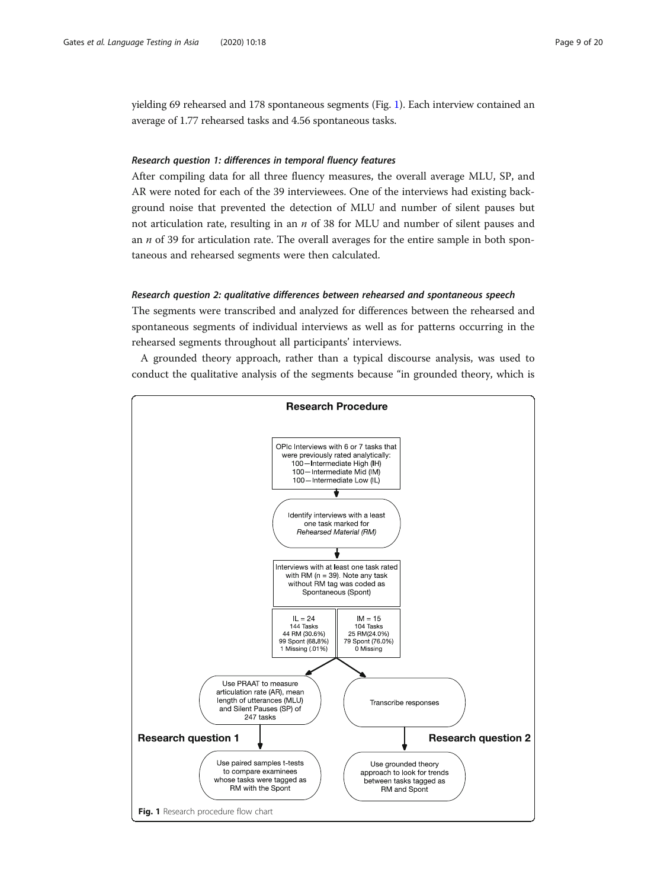yielding 69 rehearsed and 178 spontaneous segments (Fig. 1). Each interview contained an average of 1.77 rehearsed tasks and 4.56 spontaneous tasks.

### Research question 1: differences in temporal fluency features

After compiling data for all three fluency measures, the overall average MLU, SP, and AR were noted for each of the 39 interviewees. One of the interviews had existing background noise that prevented the detection of MLU and number of silent pauses but not articulation rate, resulting in an  $n$  of 38 for MLU and number of silent pauses and an  $n$  of 39 for articulation rate. The overall averages for the entire sample in both spontaneous and rehearsed segments were then calculated.

#### Research question 2: qualitative differences between rehearsed and spontaneous speech

The segments were transcribed and analyzed for differences between the rehearsed and spontaneous segments of individual interviews as well as for patterns occurring in the rehearsed segments throughout all participants' interviews.

A grounded theory approach, rather than a typical discourse analysis, was used to conduct the qualitative analysis of the segments because "in grounded theory, which is

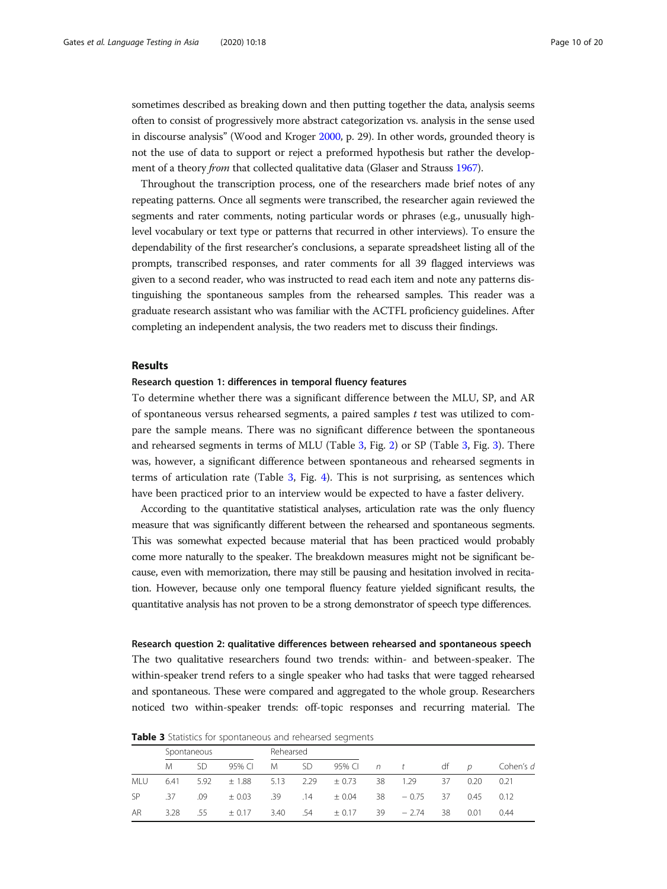sometimes described as breaking down and then putting together the data, analysis seems often to consist of progressively more abstract categorization vs. analysis in the sense used in discourse analysis" (Wood and Kroger [2000](#page-19-0), p. 29). In other words, grounded theory is not the use of data to support or reject a preformed hypothesis but rather the development of a theory *from* that collected qualitative data (Glaser and Strauss [1967\)](#page-18-0).

Throughout the transcription process, one of the researchers made brief notes of any repeating patterns. Once all segments were transcribed, the researcher again reviewed the segments and rater comments, noting particular words or phrases (e.g., unusually highlevel vocabulary or text type or patterns that recurred in other interviews). To ensure the dependability of the first researcher's conclusions, a separate spreadsheet listing all of the prompts, transcribed responses, and rater comments for all 39 flagged interviews was given to a second reader, who was instructed to read each item and note any patterns distinguishing the spontaneous samples from the rehearsed samples. This reader was a graduate research assistant who was familiar with the ACTFL proficiency guidelines. After completing an independent analysis, the two readers met to discuss their findings.

# Results

#### Research question 1: differences in temporal fluency features

To determine whether there was a significant difference between the MLU, SP, and AR of spontaneous versus rehearsed segments, a paired samples  $t$  test was utilized to compare the sample means. There was no significant difference between the spontaneous and rehearsed segments in terms of MLU (Table 3, Fig. [2](#page-10-0)) or SP (Table 3, Fig. [3](#page-10-0)). There was, however, a significant difference between spontaneous and rehearsed segments in terms of articulation rate (Table 3, Fig. [4\)](#page-11-0). This is not surprising, as sentences which have been practiced prior to an interview would be expected to have a faster delivery.

According to the quantitative statistical analyses, articulation rate was the only fluency measure that was significantly different between the rehearsed and spontaneous segments. This was somewhat expected because material that has been practiced would probably come more naturally to the speaker. The breakdown measures might not be significant because, even with memorization, there may still be pausing and hesitation involved in recitation. However, because only one temporal fluency feature yielded significant results, the quantitative analysis has not proven to be a strong demonstrator of speech type differences.

#### Research question 2: qualitative differences between rehearsed and spontaneous speech

The two qualitative researchers found two trends: within- and between-speaker. The within-speaker trend refers to a single speaker who had tasks that were tagged rehearsed and spontaneous. These were compared and aggregated to the whole group. Researchers noticed two within-speaker trends: off-topic responses and recurring material. The

|            | Spontaneous |      |            | Rehearsed |           |            |     |                 |    |      |           |
|------------|-------------|------|------------|-----------|-----------|------------|-----|-----------------|----|------|-----------|
|            | M           | SD   | 95% CL     | M         | <b>SD</b> |            |     | 95% Cl $n$ t df |    | D    | Cohen's d |
| <b>MLU</b> | 6.41        | 5.92 | ± 1.88     | 5.13      | 2.29      | $\pm$ 0.73 | 38  | 1.29            | 37 | 0.20 | 0.21      |
| <b>SP</b>  | .37         | .09  | $\pm$ 0.03 | .39       | .14       | ± 0.04     | 38  | $-0.75$         | 37 | 0.45 | 0.12      |
| AR         | 3.28        | .55  | $+0.17$    | 3.40      | .54       | $\pm$ 0.17 | -39 | $-2.74$         | 38 | 0.01 | 0.44      |

Table 3 Statistics for spontaneous and rehearsed segments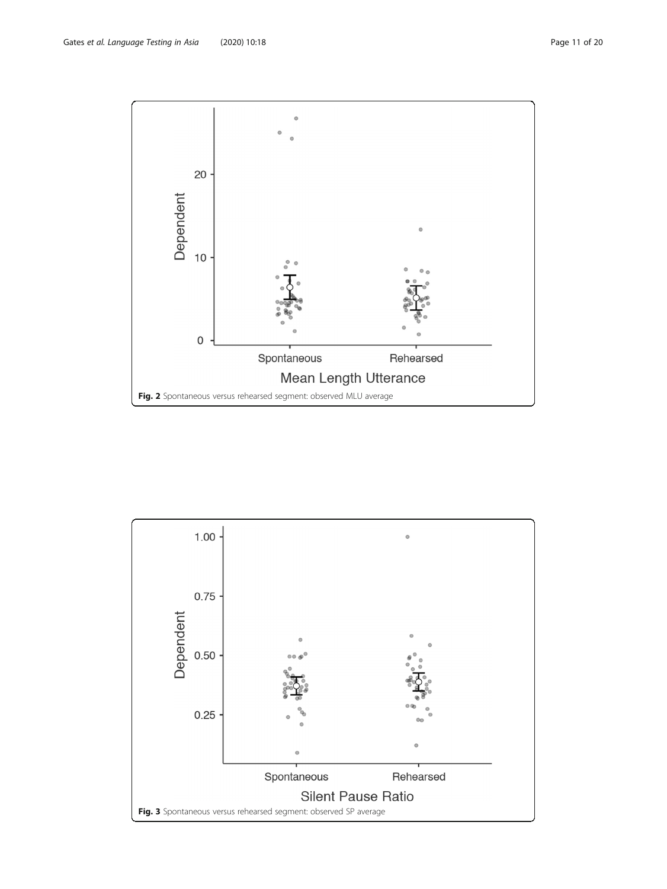<span id="page-10-0"></span>

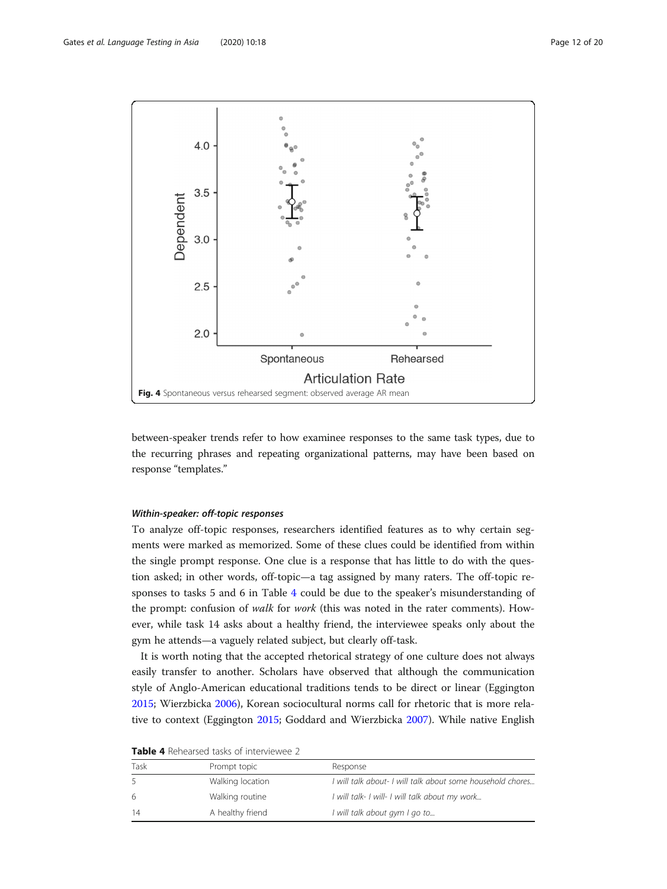<span id="page-11-0"></span>

between-speaker trends refer to how examinee responses to the same task types, due to the recurring phrases and repeating organizational patterns, may have been based on response "templates."

#### Within-speaker: off-topic responses

To analyze off-topic responses, researchers identified features as to why certain segments were marked as memorized. Some of these clues could be identified from within the single prompt response. One clue is a response that has little to do with the question asked; in other words, off-topic—a tag assigned by many raters. The off-topic responses to tasks 5 and 6 in Table 4 could be due to the speaker's misunderstanding of the prompt: confusion of walk for work (this was noted in the rater comments). However, while task 14 asks about a healthy friend, the interviewee speaks only about the gym he attends—a vaguely related subject, but clearly off-task.

It is worth noting that the accepted rhetorical strategy of one culture does not always easily transfer to another. Scholars have observed that although the communication style of Anglo-American educational traditions tends to be direct or linear (Eggington [2015](#page-18-0); Wierzbicka [2006\)](#page-19-0), Korean sociocultural norms call for rhetoric that is more relative to context (Eggington [2015](#page-18-0); Goddard and Wierzbicka [2007\)](#page-18-0). While native English

| Prompt topic     | Response                                                   |
|------------------|------------------------------------------------------------|
| Walking location | I will talk about- I will talk about some household chores |
| Walking routine  | I will talk- I will- I will talk about my work             |
| A healthy friend | I will talk about gym I go to                              |
|                  |                                                            |

Table 4 Rehearsed tasks of interviewee 2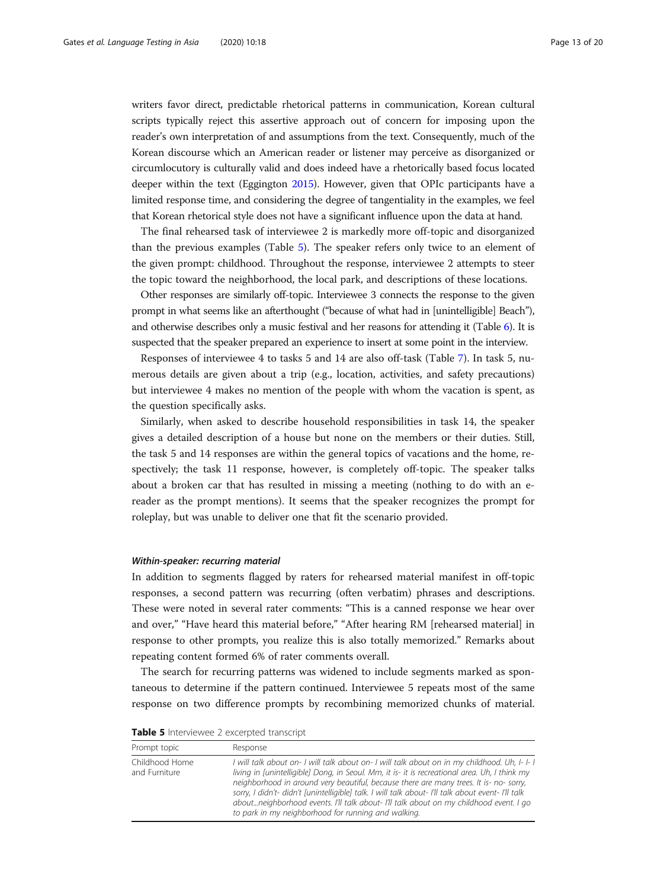writers favor direct, predictable rhetorical patterns in communication, Korean cultural scripts typically reject this assertive approach out of concern for imposing upon the reader's own interpretation of and assumptions from the text. Consequently, much of the Korean discourse which an American reader or listener may perceive as disorganized or circumlocutory is culturally valid and does indeed have a rhetorically based focus located deeper within the text (Eggington [2015](#page-18-0)). However, given that OPIc participants have a limited response time, and considering the degree of tangentiality in the examples, we feel that Korean rhetorical style does not have a significant influence upon the data at hand.

The final rehearsed task of interviewee 2 is markedly more off-topic and disorganized than the previous examples (Table 5). The speaker refers only twice to an element of the given prompt: childhood. Throughout the response, interviewee 2 attempts to steer the topic toward the neighborhood, the local park, and descriptions of these locations.

Other responses are similarly off-topic. Interviewee 3 connects the response to the given prompt in what seems like an afterthought ("because of what had in [unintelligible] Beach"), and otherwise describes only a music festival and her reasons for attending it (Table [6\)](#page-13-0). It is suspected that the speaker prepared an experience to insert at some point in the interview.

Responses of interviewee 4 to tasks 5 and 14 are also off-task (Table [7\)](#page-13-0). In task 5, numerous details are given about a trip (e.g., location, activities, and safety precautions) but interviewee 4 makes no mention of the people with whom the vacation is spent, as the question specifically asks.

Similarly, when asked to describe household responsibilities in task 14, the speaker gives a detailed description of a house but none on the members or their duties. Still, the task 5 and 14 responses are within the general topics of vacations and the home, respectively; the task 11 response, however, is completely off-topic. The speaker talks about a broken car that has resulted in missing a meeting (nothing to do with an ereader as the prompt mentions). It seems that the speaker recognizes the prompt for roleplay, but was unable to deliver one that fit the scenario provided.

#### Within-speaker: recurring material

In addition to segments flagged by raters for rehearsed material manifest in off-topic responses, a second pattern was recurring (often verbatim) phrases and descriptions. These were noted in several rater comments: "This is a canned response we hear over and over," "Have heard this material before," "After hearing RM [rehearsed material] in response to other prompts, you realize this is also totally memorized." Remarks about repeating content formed 6% of rater comments overall.

The search for recurring patterns was widened to include segments marked as spontaneous to determine if the pattern continued. Interviewee 5 repeats most of the same response on two difference prompts by recombining memorized chunks of material.

Table 5 Interviewee 2 excerpted transcript

| Prompt topic                    | Response                                                                                                                                                                                                                                                                                                                                                                                                                                                                                                                                        |
|---------------------------------|-------------------------------------------------------------------------------------------------------------------------------------------------------------------------------------------------------------------------------------------------------------------------------------------------------------------------------------------------------------------------------------------------------------------------------------------------------------------------------------------------------------------------------------------------|
| Childhood Home<br>and Furniture | I will talk about on- I will talk about on- I will talk about on in my childhood. Uh, I- I- I<br>living in funintelligible] Dong, in Seoul. Mm, it is- it is recreational area. Uh, I think my<br>neighborhood in around very beautiful, because there are many trees. It is- no- sorry,<br>sorry, I didn't- didn't [unintelligible] talk. I will talk about- I'll talk about event- I'll talk<br>aboutneighborhood events. I'll talk about- I'll talk about on my childhood event. I go<br>to park in my neighborhood for running and walking. |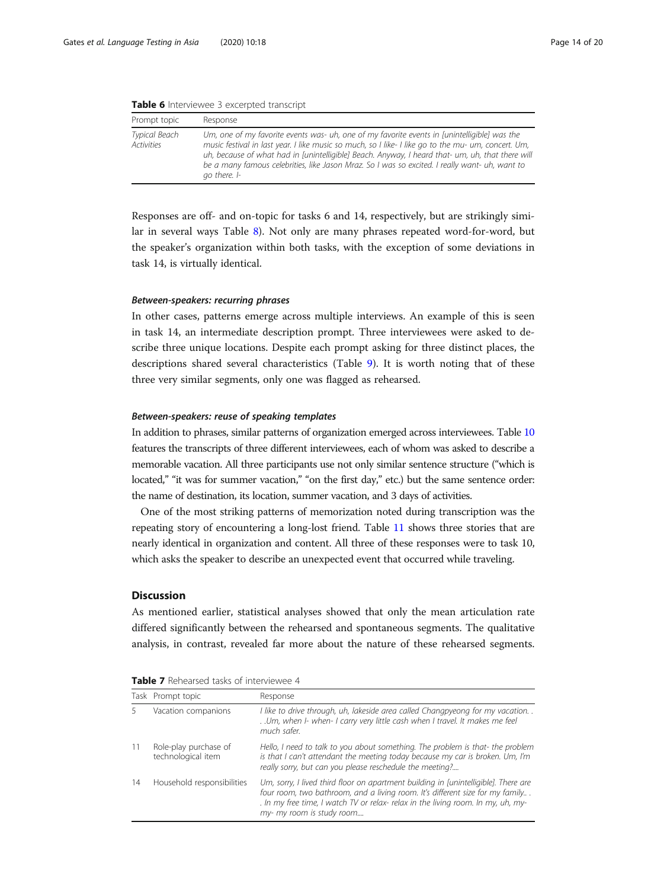<span id="page-13-0"></span>

|  |  | <b>Table 6</b> Interviewee 3 excerpted transcript |  |  |  |
|--|--|---------------------------------------------------|--|--|--|
|--|--|---------------------------------------------------|--|--|--|

| Prompt topic                       | Response                                                                                                                                                                                                                                                                                                                                                                                                                 |
|------------------------------------|--------------------------------------------------------------------------------------------------------------------------------------------------------------------------------------------------------------------------------------------------------------------------------------------------------------------------------------------------------------------------------------------------------------------------|
| Typical Beach<br><b>Activities</b> | Um, one of my favorite events was- uh, one of my favorite events in [unintelligible] was the<br>music festival in last year. I like music so much, so I like-I like go to the mu- um, concert. Um,<br>uh, because of what had in [unintelligible] Beach. Anyway, I heard that- um, uh, that there will<br>be a many famous celebrities, like Jason Mraz. So I was so excited. I really want- uh, want to<br>go there. I- |

Responses are off- and on-topic for tasks 6 and 14, respectively, but are strikingly similar in several ways Table [8\)](#page-14-0). Not only are many phrases repeated word-for-word, but the speaker's organization within both tasks, with the exception of some deviations in task 14, is virtually identical.

#### Between-speakers: recurring phrases

In other cases, patterns emerge across multiple interviews. An example of this is seen in task 14, an intermediate description prompt. Three interviewees were asked to describe three unique locations. Despite each prompt asking for three distinct places, the descriptions shared several characteristics (Table [9\)](#page-14-0). It is worth noting that of these three very similar segments, only one was flagged as rehearsed.

#### Between-speakers: reuse of speaking templates

In addition to phrases, similar patterns of organization emerged across interviewees. Table [10](#page-15-0) features the transcripts of three different interviewees, each of whom was asked to describe a memorable vacation. All three participants use not only similar sentence structure ("which is located," "it was for summer vacation," "on the first day," etc.) but the same sentence order: the name of destination, its location, summer vacation, and 3 days of activities.

One of the most striking patterns of memorization noted during transcription was the repeating story of encountering a long-lost friend. Table [11](#page-15-0) shows three stories that are nearly identical in organization and content. All three of these responses were to task 10, which asks the speaker to describe an unexpected event that occurred while traveling.

#### Discussion

As mentioned earlier, statistical analyses showed that only the mean articulation rate differed significantly between the rehearsed and spontaneous segments. The qualitative analysis, in contrast, revealed far more about the nature of these rehearsed segments.

|    | Task Prompt topic                           | Response                                                                                                                                                                                                                                                                              |
|----|---------------------------------------------|---------------------------------------------------------------------------------------------------------------------------------------------------------------------------------------------------------------------------------------------------------------------------------------|
|    | Vacation companions                         | I like to drive through, uh, lakeside area called Changpyeong for my vacation<br>. . Um, when I- when- I carry very little cash when I travel. It makes me feel<br>much safer.                                                                                                        |
|    | Role-play purchase of<br>technological item | Hello, I need to talk to you about something. The problem is that- the problem<br>is that I can't attendant the meeting today because my car is broken. Um, I'm<br>really sorry, but can you please reschedule the meeting?                                                           |
| 14 | Household responsibilities                  | Um, sorry, I lived third floor on apartment building in [unintelligible]. There are<br>four room, two bathroom, and a living room. It's different size for my family<br>. In my free time, I watch TV or relax- relax in the living room. In my, uh, my-<br>my- my room is study room |

|  |  | Table 7 Rehearsed tasks of interviewee 4 |  |
|--|--|------------------------------------------|--|
|--|--|------------------------------------------|--|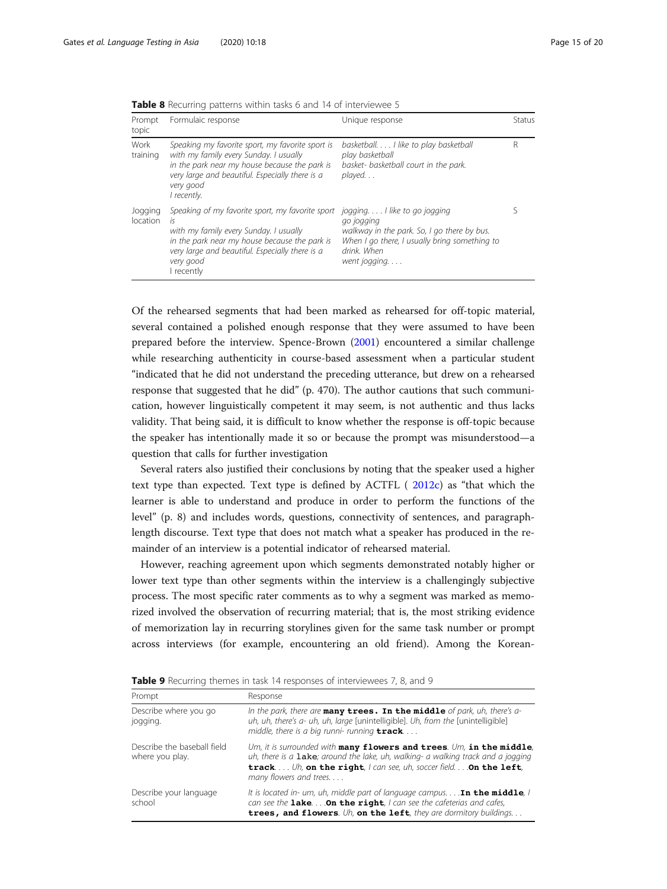| Prompt<br>topic     | Formulaic response                                                                                                                                                                                                              | Unique response                                                                                                                                                          | <b>Status</b> |
|---------------------|---------------------------------------------------------------------------------------------------------------------------------------------------------------------------------------------------------------------------------|--------------------------------------------------------------------------------------------------------------------------------------------------------------------------|---------------|
| Work<br>training    | Speaking my favorite sport, my favorite sport is<br>with my family every Sunday. I usually<br>in the park near my house because the park is<br>very large and beautiful. Especially there is a<br>very good<br>I recently.      | basketball. I like to play basketball<br>play basketball<br>basket- basketball court in the park.<br>$plaved.$                                                           | R             |
| Jogging<br>location | Speaking of my favorite sport, my favorite sport<br>İς<br>with my family every Sunday. I usually<br>in the park near my house because the park is<br>very large and beautiful. Especially there is a<br>very good<br>I recently | joggingI like to go jogging<br>go jogging<br>walkway in the park. So, I go there by bus.<br>When I go there, I usually bring something to<br>drink. When<br>went jogging |               |

<span id="page-14-0"></span>Table 8 Recurring patterns within tasks 6 and 14 of interviewee 5

Of the rehearsed segments that had been marked as rehearsed for off-topic material, several contained a polished enough response that they were assumed to have been prepared before the interview. Spence-Brown [\(2001\)](#page-19-0) encountered a similar challenge while researching authenticity in course-based assessment when a particular student "indicated that he did not understand the preceding utterance, but drew on a rehearsed response that suggested that he did" (p. 470). The author cautions that such communication, however linguistically competent it may seem, is not authentic and thus lacks validity. That being said, it is difficult to know whether the response is off-topic because the speaker has intentionally made it so or because the prompt was misunderstood—a question that calls for further investigation

Several raters also justified their conclusions by noting that the speaker used a higher text type than expected. Text type is defined by ACTFL ( [2012c\)](#page-18-0) as "that which the learner is able to understand and produce in order to perform the functions of the level" (p. 8) and includes words, questions, connectivity of sentences, and paragraphlength discourse. Text type that does not match what a speaker has produced in the remainder of an interview is a potential indicator of rehearsed material.

However, reaching agreement upon which segments demonstrated notably higher or lower text type than other segments within the interview is a challengingly subjective process. The most specific rater comments as to why a segment was marked as memorized involved the observation of recurring material; that is, the most striking evidence of memorization lay in recurring storylines given for the same task number or prompt across interviews (for example, encountering an old friend). Among the Korean-

|  |  |  | <b>Table 9</b> Recurring themes in task 14 responses of interviewees 7, 8, and 9 |
|--|--|--|----------------------------------------------------------------------------------|
|--|--|--|----------------------------------------------------------------------------------|

| Prompt                                         | Response                                                                                                                                                                                                                                                                 |
|------------------------------------------------|--------------------------------------------------------------------------------------------------------------------------------------------------------------------------------------------------------------------------------------------------------------------------|
| Describe where you go<br>jogging.              | In the park, there are $many$ trees. In the middle of park, uh, there's a-<br>uh, uh, there's a- uh, uh, large [unintelligible]. Uh, from the [unintelligible]<br>middle, there is a big runni-running $\texttt{track} \dots$                                            |
| Describe the baseball field<br>where you play. | $Um$ , it is surrounded with $many$ flowers and trees. Um, in the middle,<br>uh, there is a $\mathtt{label}$ ; around the lake, uh, walking- a walking track and a jogging<br>track Uh, on the right, I can see, uh, soccer field On the left,<br>many flowers and trees |
| Describe your language<br>school               | It is located in- um, uh, middle part of language campus <b>In the middle</b> , I<br>can see the <b>lake</b> On the right, I can see the cafeterias and cafes,<br>trees, and flowers. Uh, on the left, they are dormitory buildings                                      |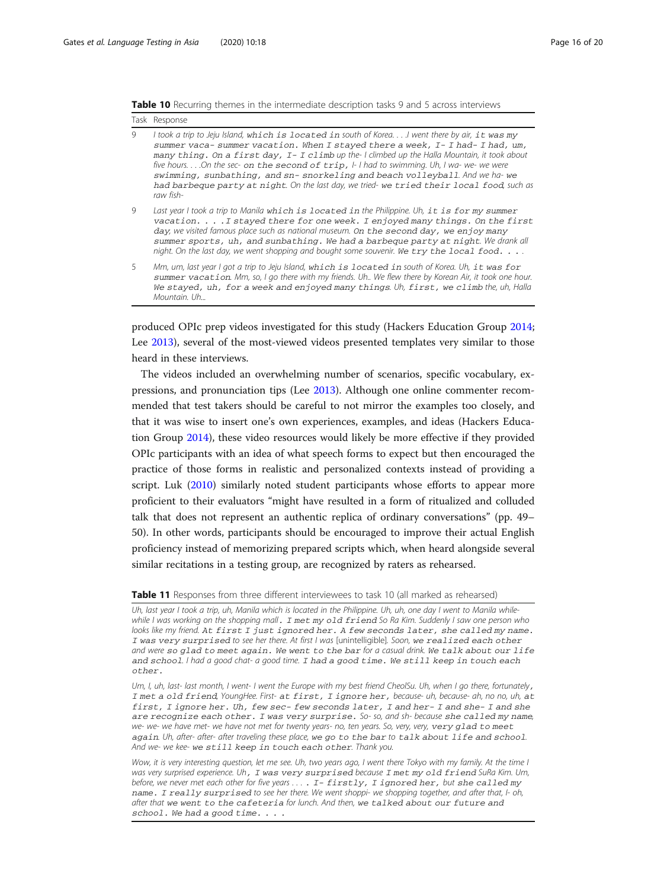<span id="page-15-0"></span>

|  |  |  |  |  |  |  | <b>Table 10</b> Recurring themes in the intermediate description tasks 9 and 5 across interviews |  |  |  |  |  |  |
|--|--|--|--|--|--|--|--------------------------------------------------------------------------------------------------|--|--|--|--|--|--|
|--|--|--|--|--|--|--|--------------------------------------------------------------------------------------------------|--|--|--|--|--|--|

|              | Task Response                                                                                                                                                                                                                                                                                                                                                                                                                                                                                                                                                         |
|--------------|-----------------------------------------------------------------------------------------------------------------------------------------------------------------------------------------------------------------------------------------------------------------------------------------------------------------------------------------------------------------------------------------------------------------------------------------------------------------------------------------------------------------------------------------------------------------------|
| $\mathsf{Q}$ | I took a trip to Jeju Island, which is located in south of KoreaI went there by air, it was my<br>summer vaca-summer vacation. When I stayed there a week, I-I had-I had, um,<br>many thing. On a first day, $I - I$ climb up the-I climbed up the Halla Mountain, it took about<br>five hours On the sec- on the second of trip, I-I had to swimming. Uh, I wa- we- we were<br>swimming, sunbathing, and sn-snorkeling and beach volleyball. And we ha-we<br>had barbeque party at night. On the last day, we tried- we tried their local food, such as<br>raw fish- |
| 9            | Last year I took a trip to Manila which is located in the Philippine. Uh, it is for my summer<br>vacation. I stayed there for one week. I enjoyed many things. On the first<br>day, we visited famous place such as national museum. On the second day, we enjoy many<br>summer sports, uh, and sunbathing. We had a barbeque party at night. We drank all<br>night. On the last day, we went shopping and bought some souvenir. We try the local food. $\ldots$ .                                                                                                    |
| 5            | Mm, um, last year I got a trip to Jeju Island, which is located in south of Korea. Uh, it was for<br>summer vacation. Mm, so, I go there with my friends. Uh We flew there by Korean Air, it took one hour.<br>We stayed, uh, for a week and enjoyed many things. Uh, first, we climb the, uh, Halla<br>Mountain, Uh                                                                                                                                                                                                                                                  |

produced OPIc prep videos investigated for this study (Hackers Education Group [2014](#page-18-0); Lee [2013\)](#page-19-0), several of the most-viewed videos presented templates very similar to those heard in these interviews.

The videos included an overwhelming number of scenarios, specific vocabulary, expressions, and pronunciation tips (Lee [2013\)](#page-19-0). Although one online commenter recommended that test takers should be careful to not mirror the examples too closely, and that it was wise to insert one's own experiences, examples, and ideas (Hackers Education Group [2014](#page-18-0)), these video resources would likely be more effective if they provided OPIc participants with an idea of what speech forms to expect but then encouraged the practice of those forms in realistic and personalized contexts instead of providing a script. Luk [\(2010\)](#page-19-0) similarly noted student participants whose efforts to appear more proficient to their evaluators "might have resulted in a form of ritualized and colluded talk that does not represent an authentic replica of ordinary conversations" (pp. 49– 50). In other words, participants should be encouraged to improve their actual English proficiency instead of memorizing prepared scripts which, when heard alongside several similar recitations in a testing group, are recognized by raters as rehearsed.

**Table 11** Responses from three different interviewees to task 10 (all marked as rehearsed)

Uh, last year I took a trip, uh, Manila which is located in the Philippine. Uh, uh, one day I went to Manila whilewhile I was working on the shopping mall. I met my old friend So Ra Kim. Suddenly I saw one person who looks like my friend. At first I just ignored her. A few seconds later, she called my name. I was very surprised to see her there. At first I was [unintelligible]. Soon, we realized each other and were so glad to meet again. We went to the bar for a casual drink. We talk about our life and school. I had a good chat- a good time. I had a good time. We still keep in touch each other.

Um, I, uh, last- last month, I went- I went the Europe with my best friend CheolSu. Uh, when I go there, fortunately, I met a old friend, YoungHee. First- at first, I ignore her, because- uh, because- ah, no no, uh, at first, I ignore her. Uh, few sec- few seconds later, I and her- I and she- I and she are recognize each other. I was very surprise. So- so, and sh- because she called my name, we- we- we have met- we have not met for twenty years- no, ten years. So, very, very, very glad to meet again. Uh, after- after- after traveling these place, we go to the bar to talk about life and school. And we- we kee- we still keep in touch each other. Thank you.

Wow, it is very interesting question, let me see. Uh, two years ago, I went there Tokyo with my family. At the time I was very surprised experience. Uh, I was very surprised because I met my old friend SuRa Kim. Um, before, we never met each other for five years . . . . I - firstly, I ignored her, but she called my name. I really surprised to see her there. We went shoppi- we shopping together, and after that, I- oh, after that we went to the cafeteria for lunch. And then, we talked about our future and school. We had a good time. . . .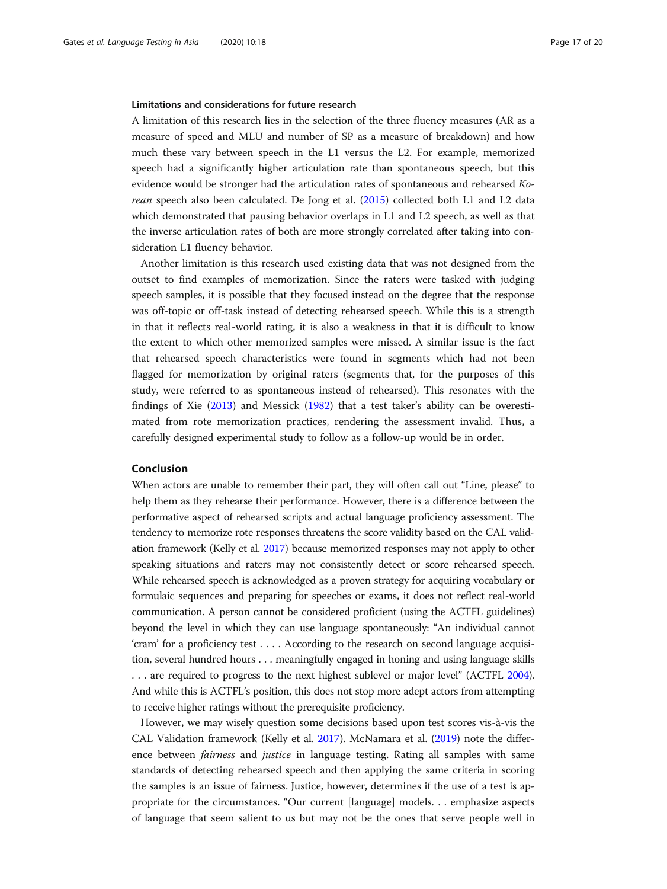### Limitations and considerations for future research

A limitation of this research lies in the selection of the three fluency measures (AR as a measure of speed and MLU and number of SP as a measure of breakdown) and how much these vary between speech in the L1 versus the L2. For example, memorized speech had a significantly higher articulation rate than spontaneous speech, but this evidence would be stronger had the articulation rates of spontaneous and rehearsed Korean speech also been calculated. De Jong et al. ([2015](#page-18-0)) collected both L1 and L2 data which demonstrated that pausing behavior overlaps in L1 and L2 speech, as well as that the inverse articulation rates of both are more strongly correlated after taking into consideration L1 fluency behavior.

Another limitation is this research used existing data that was not designed from the outset to find examples of memorization. Since the raters were tasked with judging speech samples, it is possible that they focused instead on the degree that the response was off-topic or off-task instead of detecting rehearsed speech. While this is a strength in that it reflects real-world rating, it is also a weakness in that it is difficult to know the extent to which other memorized samples were missed. A similar issue is the fact that rehearsed speech characteristics were found in segments which had not been flagged for memorization by original raters (segments that, for the purposes of this study, were referred to as spontaneous instead of rehearsed). This resonates with the findings of Xie [\(2013\)](#page-19-0) and Messick [\(1982\)](#page-19-0) that a test taker's ability can be overestimated from rote memorization practices, rendering the assessment invalid. Thus, a carefully designed experimental study to follow as a follow-up would be in order.

# Conclusion

When actors are unable to remember their part, they will often call out "Line, please" to help them as they rehearse their performance. However, there is a difference between the performative aspect of rehearsed scripts and actual language proficiency assessment. The tendency to memorize rote responses threatens the score validity based on the CAL validation framework (Kelly et al. [2017\)](#page-18-0) because memorized responses may not apply to other speaking situations and raters may not consistently detect or score rehearsed speech. While rehearsed speech is acknowledged as a proven strategy for acquiring vocabulary or formulaic sequences and preparing for speeches or exams, it does not reflect real-world communication. A person cannot be considered proficient (using the ACTFL guidelines) beyond the level in which they can use language spontaneously: "An individual cannot 'cram' for a proficiency test . . . . According to the research on second language acquisition, several hundred hours . . . meaningfully engaged in honing and using language skills . . . are required to progress to the next highest sublevel or major level" (ACTFL [2004](#page-18-0)). And while this is ACTFL's position, this does not stop more adept actors from attempting to receive higher ratings without the prerequisite proficiency.

However, we may wisely question some decisions based upon test scores vis-à-vis the CAL Validation framework (Kelly et al. [2017](#page-18-0)). McNamara et al. [\(2019](#page-19-0)) note the difference between *fairness* and *justice* in language testing. Rating all samples with same standards of detecting rehearsed speech and then applying the same criteria in scoring the samples is an issue of fairness. Justice, however, determines if the use of a test is appropriate for the circumstances. "Our current [language] models. . . emphasize aspects of language that seem salient to us but may not be the ones that serve people well in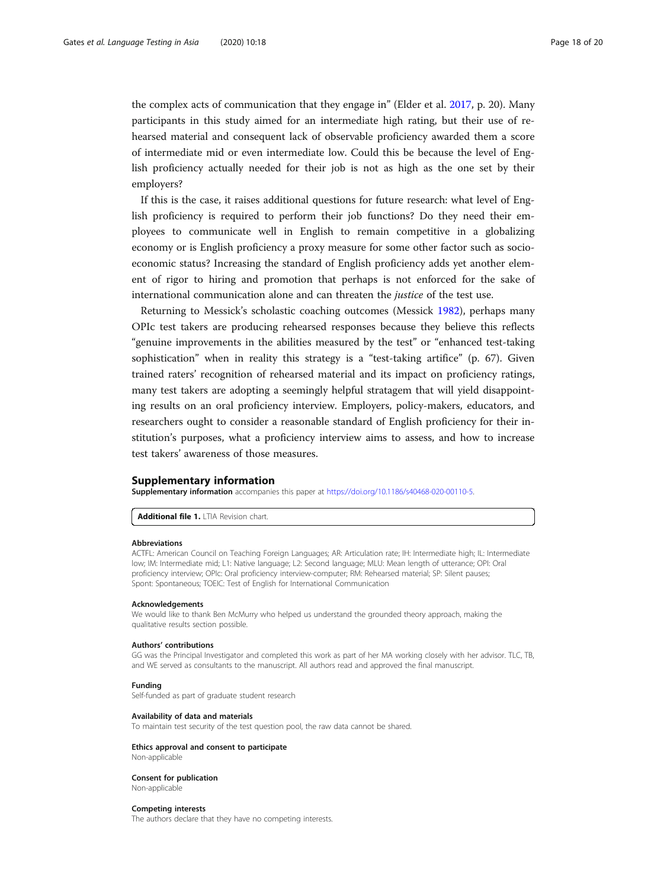the complex acts of communication that they engage in" (Elder et al. [2017](#page-18-0), p. 20). Many participants in this study aimed for an intermediate high rating, but their use of rehearsed material and consequent lack of observable proficiency awarded them a score of intermediate mid or even intermediate low. Could this be because the level of English proficiency actually needed for their job is not as high as the one set by their employers?

If this is the case, it raises additional questions for future research: what level of English proficiency is required to perform their job functions? Do they need their employees to communicate well in English to remain competitive in a globalizing economy or is English proficiency a proxy measure for some other factor such as socioeconomic status? Increasing the standard of English proficiency adds yet another element of rigor to hiring and promotion that perhaps is not enforced for the sake of international communication alone and can threaten the justice of the test use.

Returning to Messick's scholastic coaching outcomes (Messick [1982](#page-19-0)), perhaps many OPIc test takers are producing rehearsed responses because they believe this reflects "genuine improvements in the abilities measured by the test" or "enhanced test-taking sophistication" when in reality this strategy is a "test-taking artifice" (p. 67). Given trained raters' recognition of rehearsed material and its impact on proficiency ratings, many test takers are adopting a seemingly helpful stratagem that will yield disappointing results on an oral proficiency interview. Employers, policy-makers, educators, and researchers ought to consider a reasonable standard of English proficiency for their institution's purposes, what a proficiency interview aims to assess, and how to increase test takers' awareness of those measures.

#### Supplementary information

Supplementary information accompanies this paper at <https://doi.org/10.1186/s40468-020-00110-5>.

Additional file 1. LTIA Revision chart.

#### Abbreviations

ACTFL: American Council on Teaching Foreign Languages; AR: Articulation rate; IH: Intermediate high; IL: Intermediate low; IM: Intermediate mid; L1: Native language; L2: Second language; MLU: Mean length of utterance; OPI: Oral proficiency interview; OPIc: Oral proficiency interview-computer; RM: Rehearsed material; SP: Silent pauses; Spont: Spontaneous; TOEIC: Test of English for International Communication

#### Acknowledgements

We would like to thank Ben McMurry who helped us understand the grounded theory approach, making the qualitative results section possible.

#### Authors' contributions

GG was the Principal Investigator and completed this work as part of her MA working closely with her advisor. TLC, TB, and WE served as consultants to the manuscript. All authors read and approved the final manuscript.

#### Funding

Self-funded as part of graduate student research

#### Availability of data and materials

To maintain test security of the test question pool, the raw data cannot be shared.

#### Ethics approval and consent to participate

Non-applicable

#### Consent for publication

Non-applicable

#### Competing interests

The authors declare that they have no competing interests.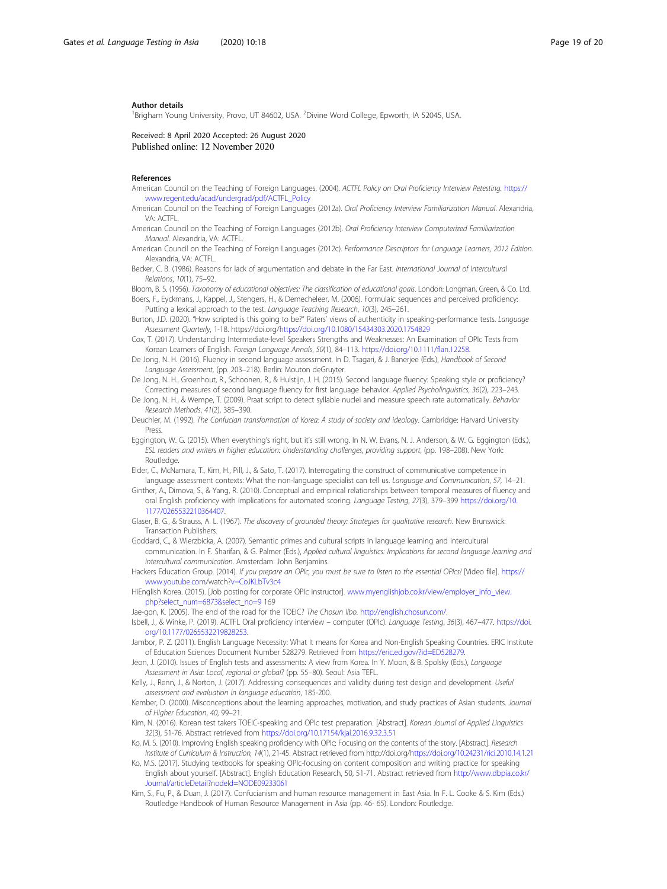#### <span id="page-18-0"></span>Author details

<sup>1</sup>Brigham Young University, Provo, UT 84602, USA. <sup>2</sup>Divine Word College, Epworth, IA 52045, USA.

Received: 8 April 2020 Accepted: 26 August 2020 Published online: 12 November 2020

#### References

American Council on the Teaching of Foreign Languages. (2004). ACTFL Policy on Oral Proficiency Interview Retesting. [https://](https://www.regent.edu/acad/undergrad/pdf/ACTFL_Policy) [www.regent.edu/acad/undergrad/pdf/ACTFL\\_Policy](https://www.regent.edu/acad/undergrad/pdf/ACTFL_Policy)

- American Council on the Teaching of Foreign Languages (2012a). Oral Proficiency Interview Familiarization Manual. Alexandria, VA: ACTFL.
- American Council on the Teaching of Foreign Languages (2012b). Oral Proficiency Interview Computerized Familiarization Manual. Alexandria, VA: ACTFL.
- American Council on the Teaching of Foreign Languages (2012c). Performance Descriptors for Language Learners, 2012 Edition. Alexandria, VA: ACTFL.
- Becker, C. B. (1986). Reasons for lack of argumentation and debate in the Far East. International Journal of Intercultural Relations, 10(1), 75–92.
- Bloom, B. S. (1956). Taxonomy of educational objectives: The classification of educational goals. London: Longman, Green, & Co. Ltd. Boers, F., Eyckmans, J., Kappel, J., Stengers, H., & Demecheleer, M. (2006). Formulaic sequences and perceived proficiency:
	- Putting a lexical approach to the test. Language Teaching Research, 10(3), 245–261.
- Burton, J.D. (2020). "How scripted is this going to be?" Raters' views of authenticity in speaking-performance tests. Language Assessment Quarterly, 1-18. https://doi.org/<https://doi.org/10.1080/15434303.2020.1754829>
- Cox, T. (2017). Understanding Intermediate-level Speakers Strengths and Weaknesses: An Examination of OPIc Tests from Korean Learners of English. Foreign Language Annals, 50(1), 84–113. <https://doi.org/10.1111/flan.12258>.
- De Jong, N. H. (2016). Fluency in second language assessment. In D. Tsagari, & J. Banerjee (Eds.), Handbook of Second Language Assessment, (pp. 203–218). Berlin: Mouton deGruyter.
- De Jong, N. H., Groenhout, R., Schoonen, R., & Hulstijn, J. H. (2015). Second language fluency: Speaking style or proficiency? Correcting measures of second language fluency for first language behavior. Applied Psycholinguistics, 36(2), 223–243.
- De Jong, N. H., & Wempe, T. (2009). Praat script to detect syllable nuclei and measure speech rate automatically. Behavior Research Methods, 41(2), 385–390.
- Deuchler, M. (1992). The Confucian transformation of Korea: A study of society and ideology. Cambridge: Harvard University Press.
- Eggington, W. G. (2015). When everything's right, but it's still wrong. In N. W. Evans, N. J. Anderson, & W. G. Eggington (Eds.), ESL readers and writers in higher education: Understanding challenges, providing support, (pp. 198–208). New York: Routledge.

Elder, C., McNamara, T., Kim, H., Pill, J., & Sato, T. (2017). Interrogating the construct of communicative competence in language assessment contexts: What the non-language specialist can tell us. Language and Communication, 57, 14–21.

- Ginther, A., Dimova, S., & Yang, R. (2010). Conceptual and empirical relationships between temporal measures of fluency and oral English proficiency with implications for automated scoring. Language Testing, 27(3), 379–399 [https://doi.org/10.](https://doi.org/10.1177/0265532210364407) [1177/0265532210364407](https://doi.org/10.1177/0265532210364407).
- Glaser, B. G., & Strauss, A. L. (1967). The discovery of grounded theory: Strategies for qualitative research. New Brunswick: Transaction Publishers.
- Goddard, C., & Wierzbicka, A. (2007). Semantic primes and cultural scripts in language learning and intercultural communication. In F. Sharifan, & G. Palmer (Eds.), Applied cultural linguistics: Implications for second language learning and intercultural communication. Amsterdam: John Benjamins.
- Hackers Education Group. (2014). If you prepare an OPIc, you must be sure to listen to the essential OPIcs! [Video file]. [https://](http://www.youtube.com/watch?v=CoJKLbTv3c4) [www.youtube.com/](http://www.youtube.com/watch?v=CoJKLbTv3c4)watch[?v=CoJKLbTv3c4](http://www.youtube.com/watch?v=CoJKLbTv3c4)
- HiEnglish Korea. (2015). [Job posting for corporate OPIc instructor]. [www.myenglishjob.co.kr/view/employer\\_info\\_view.](http://www.myenglishjob.co.kr/view/employer_info_view.php?select_num=6873&select_no=9) [php?select\\_num=6873&select\\_no=9](http://www.myenglishjob.co.kr/view/employer_info_view.php?select_num=6873&select_no=9) 169
- Jae-gon, K. (2005). The end of the road for the TOEIC? The Chosun Ilbo. [http://english.chosun.com/.](http://english.chosun.com/)
- Isbell, J., & Winke, P. (2019). ACTFL Oral proficiency interview computer (OPIc). Language Testing, 36(3), 467–477. [https://doi.](https://doi.org/10.1177/0265532219828253) [org/10.1177/0265532219828253.](https://doi.org/10.1177/0265532219828253)
- Jambor, P. Z. (2011). English Language Necessity: What It means for Korea and Non-English Speaking Countries. ERIC Institute of Education Sciences Document Number 528279. Retrieved from [https://eric.ed.gov/?id=ED528279.](https://eric.ed.gov/?id=ED528279)
- Jeon, J. (2010). Issues of English tests and assessments: A view from Korea. In Y. Moon, & B. Spolsky (Eds.), Language Assessment in Asia: Local, regional or global? (pp. 55–80). Seoul: Asia TEFL.
- Kelly, J., Renn, J., & Norton, J. (2017). Addressing consequences and validity during test design and development. Useful assessment and evaluation in language education, 185-200.
- Kember, D. (2000). Misconceptions about the learning approaches, motivation, and study practices of Asian students. Journal of Higher Education, 40, 99–21.
- Kim, N. (2016). Korean test takers TOEIC-speaking and OPIc test preparation. [Abstract]. Korean Journal of Applied Linguistics 32(3), 51-76. Abstract retrieved from <https://doi.org/10.17154/kjal.2016.9.32.3.51>
- Ko, M. S. (2010). Improving English speaking proficiency with OPIc: Focusing on the contents of the story. [Abstract]. Research Institute of Curriculum & Instruction, 14(1), 21-45. Abstract retrieved from http://doi.org[/https://doi.org/10.24231/rici.2010.14.1.21](https://doi.org/10.24231/rici.2010.14.1.21)
- Ko, M.S. (2017). Studying textbooks for speaking OPIc-focusing on content composition and writing practice for speaking English about yourself. [Abstract]. English Education Research, 50, 51-71. Abstract retrieved from [http://www.dbpia.co.kr/](http://www.dbpia.co.kr/Journal/articleDetail?nodeId=NODE09233061) [Journal/articleDetail?nodeId=NODE09233061](http://www.dbpia.co.kr/Journal/articleDetail?nodeId=NODE09233061)
- Kim, S., Fu, P., & Duan, J. (2017). Confucianism and human resource management in East Asia. In F. L. Cooke & S. Kim (Eds.) Routledge Handbook of Human Resource Management in Asia (pp. 46- 65). London: Routledge.